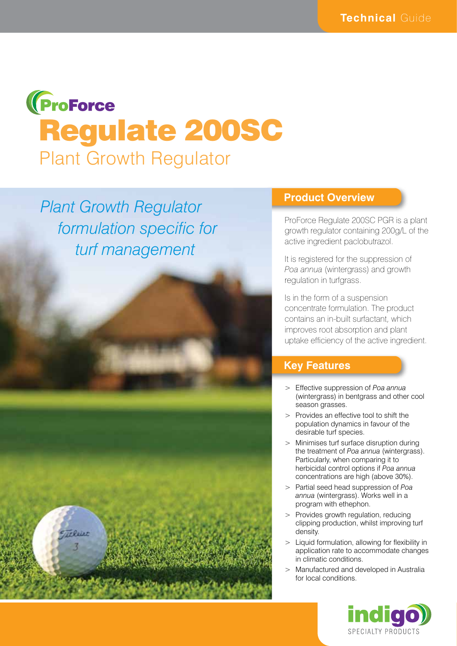# **(ProForce** Regulate 200SC Plant Growth Regulator

*Plant Growth Regulator formulation specific for turf management*



#### **Product Overview**

ProForce Regulate 200SC PGR is a plant growth regulator containing 200g/L of the active ingredient paclobutrazol.

It is registered for the suppression of *Poa annua* (wintergrass) and growth regulation in turfgrass.

Is in the form of a suspension concentrate formulation. The product contains an in-built surfactant, which improves root absorption and plant uptake efficiency of the active ingredient.

#### **Key Features**

- > Effective suppression of *Poa annua*  (wintergrass) in bentgrass and other cool season grasses.
- > Provides an effective tool to shift the population dynamics in favour of the desirable turf species.
- > Minimises turf surface disruption during the treatment of *Poa annua* (wintergrass). Particularly, when comparing it to herbicidal control options if *Poa annua* concentrations are high (above 30%).
- > Partial seed head suppression of *Poa annua* (wintergrass). Works well in a program with ethephon.
- > Provides growth regulation, reducing clipping production, whilst improving turf density.
- > Liquid formulation, allowing for flexibility in application rate to accommodate changes in climatic conditions.
- > Manufactured and developed in Australia for local conditions.